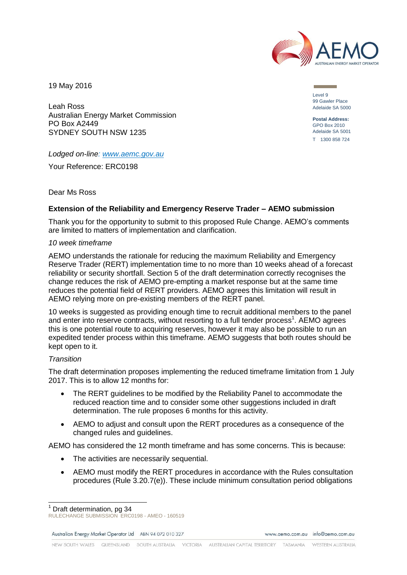

19 May 2016

Level 9 99 Gawler Place Adelaide SA 5000

**Postal Address:** GPO Box 2010 Adelaide SA 5001 T 1300 858 724

Leah Ross Australian Energy Market Commission PO Box A2449 SYDNEY SOUTH NSW 1235

# *Lodged on-line: [www.aemc.gov.au](http://www.aemc.gov.au/)*

Your Reference: ERC0198

# Dear Ms Ross

# **Extension of the Reliability and Emergency Reserve Trader – AEMO submission**

Thank you for the opportunity to submit to this proposed Rule Change. AEMO's comments are limited to matters of implementation and clarification.

### *10 week timeframe*

AEMO understands the rationale for reducing the maximum Reliability and Emergency Reserve Trader (RERT) implementation time to no more than 10 weeks ahead of a forecast reliability or security shortfall. Section 5 of the draft determination correctly recognises the change reduces the risk of AEMO pre-empting a market response but at the same time reduces the potential field of RERT providers. AEMO agrees this limitation will result in AEMO relying more on pre-existing members of the RERT panel.

10 weeks is suggested as providing enough time to recruit additional members to the panel and enter into reserve contracts, without resorting to a full tender process<sup>1</sup>. AEMO agrees this is one potential route to acquiring reserves, however it may also be possible to run an expedited tender process within this timeframe. AEMO suggests that both routes should be kept open to it.

### *Transition*

The draft determination proposes implementing the reduced timeframe limitation from 1 July 2017. This is to allow 12 months for:

- The RERT guidelines to be modified by the Reliability Panel to accommodate the reduced reaction time and to consider some other suggestions included in draft determination. The rule proposes 6 months for this activity.
- AEMO to adjust and consult upon the RERT procedures as a consequence of the changed rules and guidelines.

AEMO has considered the 12 month timeframe and has some concerns. This is because:

- The activities are necessarily sequential.
- AEMO must modify the RERT procedures in accordance with the Rules consultation procedures (Rule 3.20.7(e)). These include minimum consultation period obligations

Australian Energy Market Operator Ltd ABN 94 072 010 327

www.gemo.com.gu info@gemo.com.gu

l  $<sup>1</sup>$  Draft determination, pg 34</sup>

RULECHANGE SUBMISSION ERC0198 - AMEO - 160519